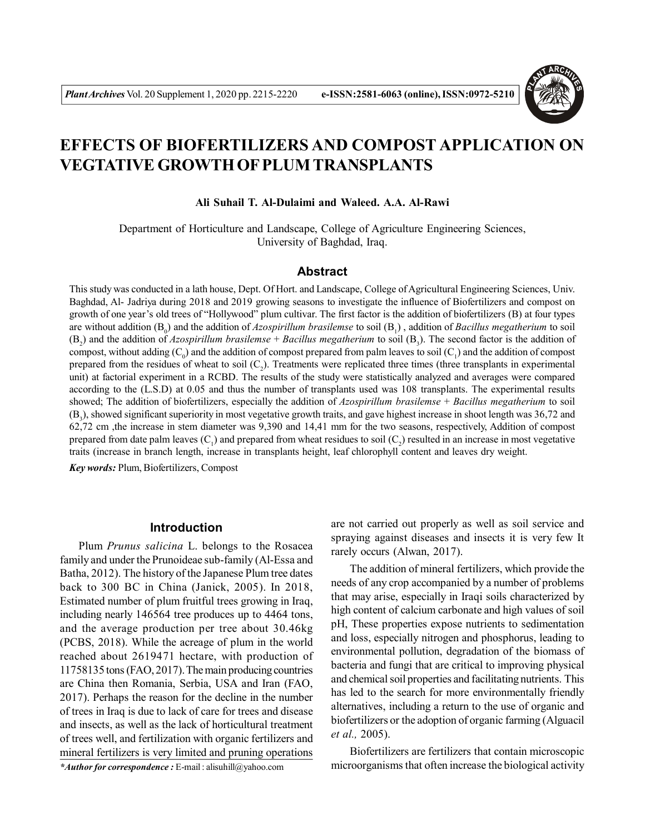

# **EFFECTS OF BIOFERTILIZERS AND COMPOST APPLICATION ON VEGTATIVE GROWTH OF PLUM TRANSPLANTS**

#### **Ali Suhail T. Al-Dulaimi and Waleed. A.A. Al-Rawi**

Department of Horticulture and Landscape, College of Agriculture Engineering Sciences, University of Baghdad, Iraq.

## **Abstract**

This study was conducted in a lath house, Dept. Of Hort. and Landscape, College of Agricultural Engineering Sciences, Univ. Baghdad, Al- Jadriya during 2018 and 2019 growing seasons to investigate the influence of Biofertilizers and compost on growth of one year's old trees of "Hollywood" plum cultivar. The first factor is the addition of biofertilizers (B) at four types are without addition (B<sub>0</sub>) and the addition of *Azospirillum brasilemse* to soil (B<sub>1</sub>), addition of *Bacillus megatherium* to soil  $(B_2)$  and the addition of *Azospirillum brasilemse* + *Bacillus megatherium* to soil  $(B_3)$ . The second factor is the addition of compost, without adding  $(C_0)$  and the addition of compost prepared from palm leaves to soil  $(C_1)$  and the addition of compost prepared from the residues of wheat to soil  $(C_2)$ . Treatments were replicated three times (three transplants in experimental unit) at factorial experiment in a RCBD. The results of the study were statistically analyzed and averages were compared according to the (L.S.D) at 0.05 and thus the number of transplants used was 108 transplants. The experimental results showed; The addition of biofertilizers, especially the addition of *Azospirillum brasilemse* + *Bacillus megatherium* to soil  $(B_3)$ , showed significant superiority in most vegetative growth traits, and gave highest increase in shoot length was 36,72 and 62,72 cm ,the increase in stem diameter was 9,390 and 14,41 mm for the two seasons, respectively, Addition of compost prepared from date palm leaves  $(C_1)$  and prepared from wheat residues to soil  $(C_2)$  resulted in an increase in most vegetative traits (increase in branch length, increase in transplants height, leaf chlorophyll content and leaves dry weight.

*Key words:* Plum, Biofertilizers, Compost

#### **Introduction**

Plum *Prunus salicina* L. belongs to the Rosacea family and under the Prunoideae sub-family (Al-Essa and Batha, 2012). The history of the Japanese Plum tree dates back to 300 BC in China (Janick, 2005). In 2018, Estimated number of plum fruitful trees growing in Iraq, including nearly 146564 tree produces up to 4464 tons, and the average production per tree about 30.46kg (PCBS, 2018). While the acreage of plum in the world reached about 2619471 hectare, with production of 11758135 tons (FAO, 2017). The main producing countries are China then Romania, Serbia, USA and Iran (FAO, 2017). Perhaps the reason for the decline in the number of trees in Iraq is due to lack of care for trees and disease and insects, as well as the lack of horticultural treatment of trees well, and fertilization with organic fertilizers and mineral fertilizers is very limited and pruning operations

*\*Author for correspondence :* E-mail : alisuhill@yahoo.com

are not carried out properly as well as soil service and spraying against diseases and insects it is very few It rarely occurs (Alwan, 2017).

The addition of mineral fertilizers, which provide the needs of any crop accompanied by a number of problems that may arise, especially in Iraqi soils characterized by high content of calcium carbonate and high values of soil pH, These properties expose nutrients to sedimentation and loss, especially nitrogen and phosphorus, leading to environmental pollution, degradation of the biomass of bacteria and fungi that are critical to improving physical and chemical soil properties and facilitating nutrients. This has led to the search for more environmentally friendly alternatives, including a return to the use of organic and biofertilizers or the adoption of organic farming (Alguacil *et al.,* 2005).

Biofertilizers are fertilizers that contain microscopic microorganisms that often increase the biological activity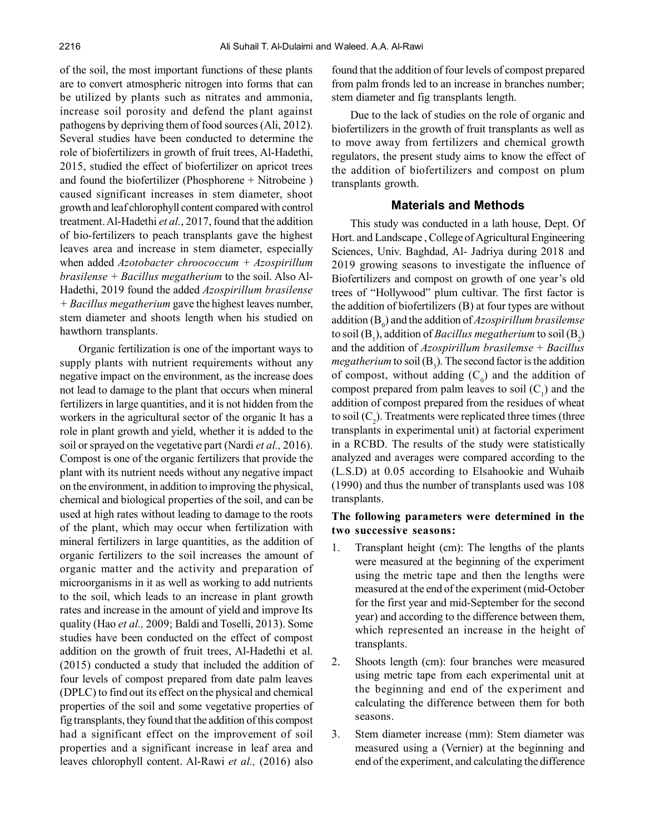of the soil, the most important functions of these plants are to convert atmospheric nitrogen into forms that can be utilized by plants such as nitrates and ammonia, increase soil porosity and defend the plant against pathogens by depriving them of food sources (Ali, 2012). Several studies have been conducted to determine the role of biofertilizers in growth of fruit trees, Al-Hadethi, 2015, studied the effect of biofertilizer on apricot trees and found the biofertilizer (Phosphorene + Nitrobeine ) caused significant increases in stem diameter, shoot growth and leaf chlorophyll content compared with control treatment. Al-Hadethi *et al.*, 2017, found that the addition of bio-fertilizers to peach transplants gave the highest leaves area and increase in stem diameter, especially when added *Azotobacter chroococcum + Azospirillum brasilense + Bacillus megatherium* to the soil. Also Al-Hadethi, 2019 found the added *Azospirillum brasilense + Bacillus megatherium* gave the highest leaves number, stem diameter and shoots length when his studied on hawthorn transplants.

Organic fertilization is one of the important ways to supply plants with nutrient requirements without any negative impact on the environment, as the increase does not lead to damage to the plant that occurs when mineral fertilizers in large quantities, and it is not hidden from the workers in the agricultural sector of the organic It has a role in plant growth and yield, whether it is added to the soil or sprayed on the vegetative part (Nardi *et al.,* 2016). Compost is one of the organic fertilizers that provide the plant with its nutrient needs without any negative impact on the environment, in addition to improving the physical, chemical and biological properties of the soil, and can be used at high rates without leading to damage to the roots of the plant, which may occur when fertilization with mineral fertilizers in large quantities, as the addition of organic fertilizers to the soil increases the amount of organic matter and the activity and preparation of microorganisms in it as well as working to add nutrients to the soil, which leads to an increase in plant growth rates and increase in the amount of yield and improve Its quality (Hao *et al.,* 2009; Baldi and Toselli, 2013). Some studies have been conducted on the effect of compost addition on the growth of fruit trees, Al-Hadethi et al. (2015) conducted a study that included the addition of four levels of compost prepared from date palm leaves (DPLC) to find out its effect on the physical and chemical properties of the soil and some vegetative properties of fig transplants, they found that the addition of this compost had a significant effect on the improvement of soil properties and a significant increase in leaf area and leaves chlorophyll content. Al-Rawi *et al.,* (2016) also

found that the addition of four levels of compost prepared from palm fronds led to an increase in branches number; stem diameter and fig transplants length.

Due to the lack of studies on the role of organic and biofertilizers in the growth of fruit transplants as well as to move away from fertilizers and chemical growth regulators, the present study aims to know the effect of the addition of biofertilizers and compost on plum transplants growth.

# **Materials and Methods**

This study was conducted in a lath house, Dept. Of Hort. and Landscape , College of Agricultural Engineering Sciences, Univ. Baghdad, Al- Jadriya during 2018 and 2019 growing seasons to investigate the influence of Biofertilizers and compost on growth of one year's old trees of "Hollywood" plum cultivar. The first factor is the addition of biofertilizers (B) at four types are without addition (B<sup>0</sup> ) and the addition of *Azospirillum brasilemse* to soil  $(\mathrm{B}_\mathrm{l})$ , addition of *Bacillus megatherium* to soil  $(\mathrm{B}_\mathrm{2})$ and the addition of *Azospirillum brasilemse* + *Bacillus megatherium* to soil  $(B_3)$ . The second factor is the addition of compost, without adding  $(C_0)$  and the addition of compost prepared from palm leaves to soil  $(C_1)$  and the addition of compost prepared from the residues of wheat to soil  $(C_2)$ . Treatments were replicated three times (three transplants in experimental unit) at factorial experiment in a RCBD. The results of the study were statistically analyzed and averages were compared according to the (L.S.D) at 0.05 according to Elsahookie and Wuhaib (1990) and thus the number of transplants used was 108 transplants.

## **The following parameters were determined in the two successive seasons:**

- 1. Transplant height (cm): The lengths of the plants were measured at the beginning of the experiment using the metric tape and then the lengths were measured at the end of the experiment (mid-October for the first year and mid-September for the second year) and according to the difference between them, which represented an increase in the height of transplants.
- 2. Shoots length (cm): four branches were measured using metric tape from each experimental unit at the beginning and end of the experiment and calculating the difference between them for both seasons.
- 3. Stem diameter increase (mm): Stem diameter was measured using a (Vernier) at the beginning and end of the experiment, and calculating the difference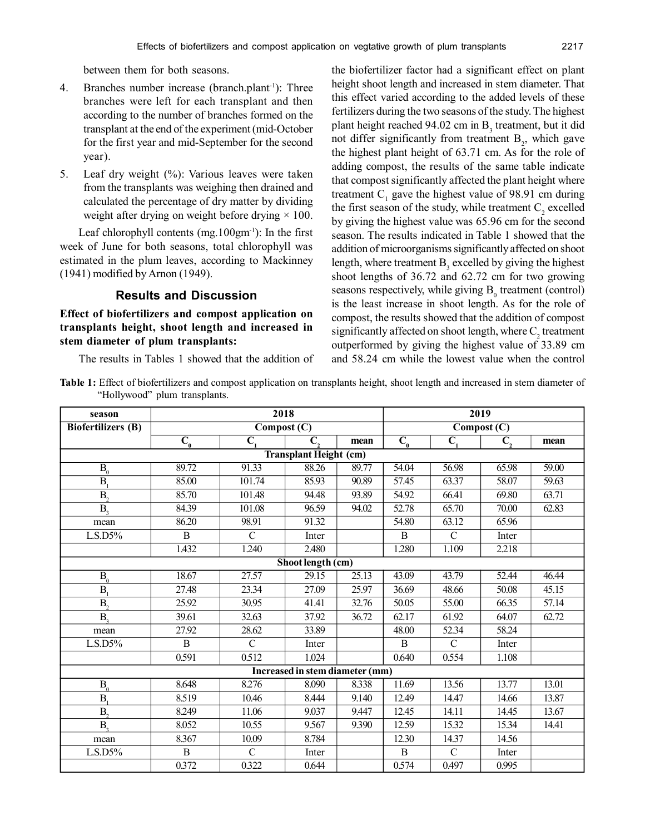- 4. Branches number increase (branch.plant<sup>-1</sup>): Three branches were left for each transplant and then according to the number of branches formed on the transplant at the end of the experiment (mid-October for the first year and mid-September for the second year).
- 5. Leaf dry weight (%): Various leaves were taken from the transplants was weighing then drained and calculated the percentage of dry matter by dividing weight after drying on weight before drying  $\times$  100.

Leaf chlorophyll contents  $(mg.100gm^{-1})$ : In the first week of June for both seasons, total chlorophyll was estimated in the plum leaves, according to Mackinney (1941) modified by Arnon (1949).

# **Results and Discussion**

**Effect of biofertilizers and compost application on transplants height, shoot length and increased in stem diameter of plum transplants:**

The results in Tables 1 showed that the addition of

the biofertilizer factor had a significant effect on plant height shoot length and increased in stem diameter. That this effect varied according to the added levels of these fertilizers during the two seasons of the study. The highest plant height reached  $94.02$  cm in  $B_3$  treatment, but it did not differ significantly from treatment  $B_2$ , which gave the highest plant height of 63.71 cm. As for the role of adding compost, the results of the same table indicate that compost significantly affected the plant height where treatment  $C_1$  gave the highest value of 98.91 cm during the first season of the study, while treatment  $C_2$  excelled by giving the highest value was 65.96 cm for the second season. The results indicated in Table 1 showed that the addition of microorganisms significantly affected on shoot length, where treatment  $B_3$  excelled by giving the highest shoot lengths of 36.72 and 62.72 cm for two growing seasons respectively, while giving  $B_0$  treatment (control) is the least increase in shoot length. As for the role of compost, the results showed that the addition of compost significantly affected on shoot length, where  $C_2$  treatment outperformed by giving the highest value of 33.89 cm and 58.24 cm while the lowest value when the control

**Table 1:** Effect of biofertilizers and compost application on transplants height, shoot length and increased in stem diameter of "Hollywood" plum transplants.

| season                                 | 2018                           |                             |                          |       | 2019               |                           |                         |                    |  |  |  |
|----------------------------------------|--------------------------------|-----------------------------|--------------------------|-------|--------------------|---------------------------|-------------------------|--------------------|--|--|--|
| <b>Biofertilizers</b> (B)              | $\overline{\text{Compost}(C)}$ |                             |                          |       | Compost(C)         |                           |                         |                    |  |  |  |
|                                        | $\overline{C_{0}}$             | $\overline{C}$ <sub>1</sub> | $\overline{\mathbf{C}},$ | mean  | $\overline{C_{0}}$ | $\overline{\mathsf{C}_1}$ | $\overline{\text{C}_2}$ | mean               |  |  |  |
| <b>Transplant Height (cm)</b>          |                                |                             |                          |       |                    |                           |                         |                    |  |  |  |
| $\overline{\mathbf{B}_0}$              | 89.72                          | 91.33                       | 88.26                    | 89.77 | 54.04              | 56.98                     | 65.98                   | 59.00              |  |  |  |
| $\overline{B_{i}}$                     | 85.00                          | 101.74                      | 85.93                    | 90.89 | 57.45              | 63.37                     | 58.07                   | $\overline{59.63}$ |  |  |  |
| $\overline{B_{2}}$                     | 85.70                          | 101.48                      | 94.48                    | 93.89 | 54.92              | 66.41                     | 69.80                   | 63.71              |  |  |  |
| $\overline{B_{3}}$                     | 84.39                          | 101.08                      | 96.59                    | 94.02 | 52.78              | 65.70                     | 70.00                   | 62.83              |  |  |  |
| mean                                   | 86.20                          | 98.91                       | 91.32                    |       | 54.80              | 63.12                     | 65.96                   |                    |  |  |  |
| $L.S.D5\%$                             | $\overline{B}$                 | $\overline{C}$              | Inter                    |       | $\overline{B}$     | $\overline{C}$            | Inter                   |                    |  |  |  |
|                                        | 1.432                          | 1.240                       | 2.480                    |       | 1.280              | 1.109                     | 2.218                   |                    |  |  |  |
| Shoot length (cm)                      |                                |                             |                          |       |                    |                           |                         |                    |  |  |  |
| $B_0$                                  | 18.67                          | 27.57                       | $\overline{29.15}$       | 25.13 | 43.09              | 43.79                     | 52.44                   | 46.44              |  |  |  |
| B <sub>1</sub>                         | 27.48                          | 23.34                       | 27.09                    | 25.97 | 36.69              | 48.66                     | 50.08                   | 45.15              |  |  |  |
| $\overline{B}$                         | 25.92                          | 30.95                       | 41.41                    | 32.76 | 50.05              | 55.00                     | 66.35                   | 57.14              |  |  |  |
| B <sub>2</sub>                         | 39.61                          | 32.63                       | 37.92                    | 36.72 | 62.17              | 61.92                     | 64.07                   | 62.72              |  |  |  |
| mean                                   | 27.92                          | 28.62                       | 33.89                    |       | 48.00              | 52.34                     | 58.24                   |                    |  |  |  |
| $L.S.D5\%$                             | $\overline{B}$                 | $\mathcal{C}$               | Inter                    |       | $\, {\bf B}$       | $\overline{C}$            | Inter                   |                    |  |  |  |
|                                        | 0.591                          | 0.512                       | 1.024                    |       | 0.640              | 0.554                     | 1.108                   |                    |  |  |  |
| <b>Increased in stem diameter (mm)</b> |                                |                             |                          |       |                    |                           |                         |                    |  |  |  |
| $B_0$                                  | 8.648                          | 8.276                       | 8.090                    | 8.338 | 11.69              | 13.56                     | 13.77                   | 13.01              |  |  |  |
| B                                      | 8.519                          | 10.46                       | 8.444                    | 9.140 | 12.49              | 14.47                     | 14.66                   | 13.87              |  |  |  |
| B <sub>2</sub>                         | 8.249                          | 11.06                       | 9.037                    | 9.447 | 12.45              | 14.11                     | 14.45                   | 13.67              |  |  |  |
| B,                                     | 8.052                          | 10.55                       | 9.567                    | 9.390 | 12.59              | 15.32                     | 15.34                   | 14.41              |  |  |  |
| mean                                   | 8.367                          | 10.09                       | 8.784                    |       | 12.30              | 14.37                     | 14.56                   |                    |  |  |  |
| L.S.D5%                                | $\mathbf B$                    | $\mathcal{C}$               | Inter                    |       | B                  | $\mathcal{C}$             | Inter                   |                    |  |  |  |
|                                        | 0.372                          | 0.322                       | 0.644                    |       | 0.574              | 0.497                     | 0.995                   |                    |  |  |  |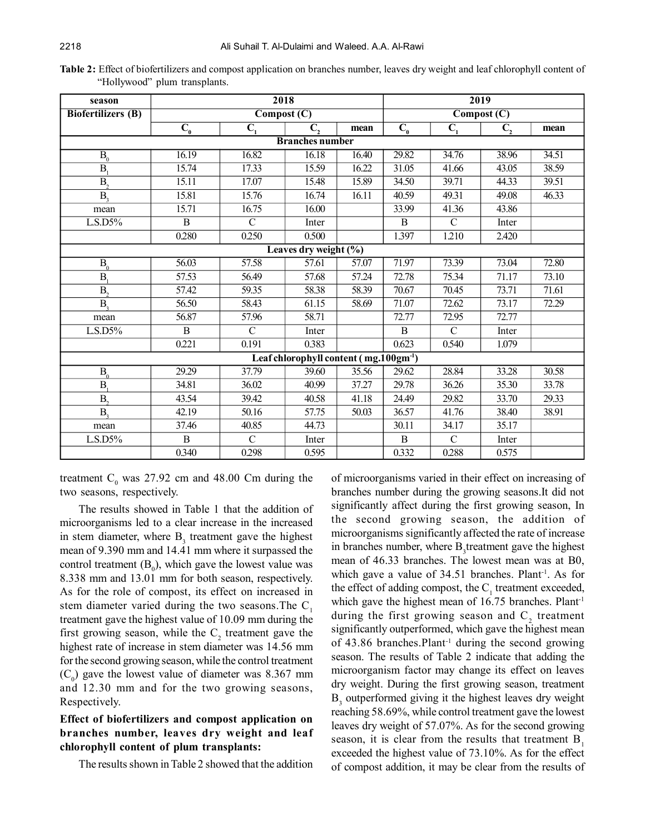| season                    |                                                    | 2018                           |              |       |                  |                                | 2019           |       |  |  |  |  |
|---------------------------|----------------------------------------------------|--------------------------------|--------------|-------|------------------|--------------------------------|----------------|-------|--|--|--|--|
| <b>Biofertilizers</b> (B) |                                                    | $\overline{\text{Compost}(C)}$ |              |       |                  | $\overline{\text{Compost}}(C)$ |                |       |  |  |  |  |
|                           | $\mathbf{C}_{0}$                                   | $\mathbf{C}_{1}$               | $C_{\gamma}$ | mean  | $\mathbf{C}_{0}$ | $C_{1}$                        | $\mathbf{C}_2$ | mean  |  |  |  |  |
| <b>Branches number</b>    |                                                    |                                |              |       |                  |                                |                |       |  |  |  |  |
| $B_0$                     | 16.19                                              | 16.82                          | 16.18        | 16.40 | 29.82            | 34.76                          | 38.96          | 34.51 |  |  |  |  |
| $\mathbf{B}$              | 15.74                                              | 17.33                          | 15.59        | 16.22 | 31.05            | 41.66                          | 43.05          | 38.59 |  |  |  |  |
| $\overline{B_{2}}$        | 15.11                                              | 17.07                          | 15.48        | 15.89 | 34.50            | 39.71                          | 44.33          | 39.51 |  |  |  |  |
| $\overline{B_{2}}$        | 15.81                                              | 15.76                          | 16.74        | 16.11 | 40.59            | 49.31                          | 49.08          | 46.33 |  |  |  |  |
| mean                      | 15.71                                              | 16.75                          | 16.00        |       | 33.99            | 41.36                          | 43.86          |       |  |  |  |  |
| L.S.D5%                   | $\overline{B}$                                     | $\overline{C}$                 | Inter        |       | $\, {\bf B}$     | $\mathcal{C}$                  | Inter          |       |  |  |  |  |
|                           | 0.280                                              | 0.250                          | 0.500        |       | 1.397            | 1.210                          | 2.420          |       |  |  |  |  |
| Leaves dry weight (%)     |                                                    |                                |              |       |                  |                                |                |       |  |  |  |  |
| $\overline{B_{0}}$        | 56.03                                              | 57.58                          | 57.61        | 57.07 | 71.97            | 73.39                          | 73.04          | 72.80 |  |  |  |  |
| B <sub>1</sub>            | 57.53                                              | 56.49                          | 57.68        | 57.24 | 72.78            | 75.34                          | 71.17          | 73.10 |  |  |  |  |
| $\overline{B}$            | 57.42                                              | 59.35                          | 58.38        | 58.39 | 70.67            | 70.45                          | 73.71          | 71.61 |  |  |  |  |
| $\overline{B_{2}}$        | 56.50                                              | 58.43                          | 61.15        | 58.69 | 71.07            | 72.62                          | 73.17          | 72.29 |  |  |  |  |
| mean                      | 56.87                                              | 57.96                          | 58.71        |       | 72.77            | 72.95                          | 72.77          |       |  |  |  |  |
| $L.S.D5\%$                | B                                                  | $\mathcal{C}$                  | Inter        |       | $\mathbf B$      | $\mathcal{C}$                  | Inter          |       |  |  |  |  |
|                           | 0.221                                              | 0.191                          | 0.383        |       | 0.623            | 0.540                          | 1.079          |       |  |  |  |  |
|                           | Leaf chlorophyll content (mg.100gm <sup>-1</sup> ) |                                |              |       |                  |                                |                |       |  |  |  |  |
| $\overline{B_{0}}$        | 29.29                                              | 37.79                          | 39.60        | 35.56 | 29.62            | 28.84                          | 33.28          | 30.58 |  |  |  |  |
| B <sub>1</sub>            | 34.81                                              | 36.02                          | 40.99        | 37.27 | 29.78            | 36.26                          | 35.30          | 33.78 |  |  |  |  |
| $B_{\gamma}$              | 43.54                                              | 39.42                          | 40.58        | 41.18 | 24.49            | 29.82                          | 33.70          | 29.33 |  |  |  |  |
| B <sub>2</sub>            | 42.19                                              | 50.16                          | 57.75        | 50.03 | 36.57            | 41.76                          | 38.40          | 38.91 |  |  |  |  |
| mean                      | 37.46                                              | 40.85                          | 44.73        |       | 30.11            | 34.17                          | 35.17          |       |  |  |  |  |
| $L.S.D5\%$                | $\bf{B}$                                           | $\mathcal{C}$                  | Inter        |       | $\mathbf B$      | $\mathcal{C}$                  | Inter          |       |  |  |  |  |
|                           | 0.340                                              | 0.298                          | 0.595        |       | 0.332            | 0.288                          | 0.575          |       |  |  |  |  |

**Table 2:** Effect of biofertilizers and compost application on branches number, leaves dry weight and leaf chlorophyll content of "Hollywood" plum transplants.

treatment  $C_0$  was 27.92 cm and 48.00 Cm during the two seasons, respectively.

The results showed in Table 1 that the addition of microorganisms led to a clear increase in the increased in stem diameter, where  $B_3$  treatment gave the highest mean of 9.390 mm and 14.41 mm where it surpassed the control treatment  $(B_0)$ , which gave the lowest value was 8.338 mm and 13.01 mm for both season, respectively. As for the role of compost, its effect on increased in stem diameter varied during the two seasons. The  $C<sub>1</sub>$ treatment gave the highest value of 10.09 mm during the first growing season, while the  $C_2$  treatment gave the highest rate of increase in stem diameter was 14.56 mm for the second growing season, while the control treatment  $(C_0)$  gave the lowest value of diameter was 8.367 mm and 12.30 mm and for the two growing seasons, Respectively.

# **Effect of biofertilizers and compost application on branches number, leaves dry weight and leaf chlorophyll content of plum transplants:**

The results shown in Table 2 showed that the addition

of microorganisms varied in their effect on increasing of branches number during the growing seasons.It did not significantly affect during the first growing season, In the second growing season, the addition of microorganisms significantly affected the rate of increase in branches number, where  $B_3$  treatment gave the highest mean of 46.33 branches. The lowest mean was at B0, which gave a value of  $34.51$  branches. Plant<sup>-1</sup>. As for the effect of adding compost, the  $C_1$  treatment exceeded, which gave the highest mean of 16.75 branches. Plant<sup>-1</sup> during the first growing season and  $C_2$  treatment significantly outperformed, which gave the highest mean of 43.86 branches.Plant-1 during the second growing season. The results of Table 2 indicate that adding the microorganism factor may change its effect on leaves dry weight. During the first growing season, treatment  $B_3$  outperformed giving it the highest leaves dry weight reaching 58.69%, while control treatment gave the lowest leaves dry weight of 57.07%. As for the second growing season, it is clear from the results that treatment B<sub>1</sub> exceeded the highest value of 73.10%. As for the effect of compost addition, it may be clear from the results of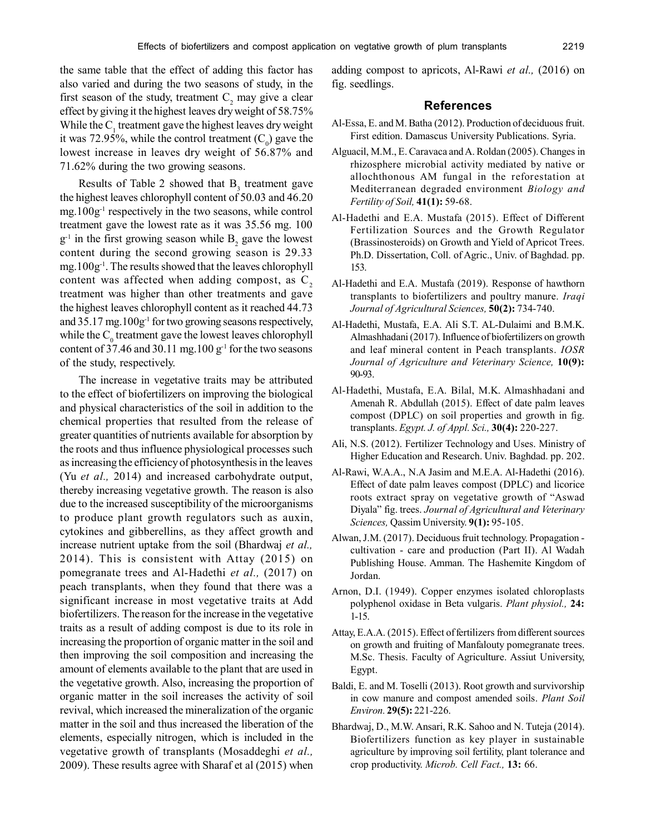the same table that the effect of adding this factor has also varied and during the two seasons of study, in the first season of the study, treatment  $C_2$  may give a clear effect by giving it the highest leaves dry weight of 58.75% While the  $C_1$  treatment gave the highest leaves dry weight it was 72.95%, while the control treatment  $(C_0)$  gave the lowest increase in leaves dry weight of 56.87% and 71.62% during the two growing seasons.

Results of Table 2 showed that  $B_3$  treatment gave the highest leaves chlorophyll content of 50.03 and 46.20 mg.100g-1 respectively in the two seasons, while control treatment gave the lowest rate as it was 35.56 mg. 100  $g^{-1}$  in the first growing season while  $B_2$  gave the lowest content during the second growing season is 29.33 mg.100g-1. The results showed that the leaves chlorophyll content was affected when adding compost, as  $C<sub>2</sub>$ treatment was higher than other treatments and gave the highest leaves chlorophyll content as it reached 44.73 and 35.17 mg.100g-1 for two growing seasons respectively, while the  $C_0$  treatment gave the lowest leaves chlorophyll content of 37.46 and 30.11 mg.100  $g^{-1}$  for the two seasons of the study, respectively.

The increase in vegetative traits may be attributed to the effect of biofertilizers on improving the biological and physical characteristics of the soil in addition to the chemical properties that resulted from the release of greater quantities of nutrients available for absorption by the roots and thus influence physiological processes such as increasing the efficiency of photosynthesis in the leaves (Yu *et al.,* 2014) and increased carbohydrate output, thereby increasing vegetative growth. The reason is also due to the increased susceptibility of the microorganisms to produce plant growth regulators such as auxin, cytokines and gibberellins, as they affect growth and increase nutrient uptake from the soil (Bhardwaj *et al.,* 2014). This is consistent with Attay (2015) on pomegranate trees and Al-Hadethi *et al.,* (2017) on peach transplants, when they found that there was a significant increase in most vegetative traits at Add biofertilizers. The reason for the increase in the vegetative traits as a result of adding compost is due to its role in increasing the proportion of organic matter in the soil and then improving the soil composition and increasing the amount of elements available to the plant that are used in the vegetative growth. Also, increasing the proportion of organic matter in the soil increases the activity of soil revival, which increased the mineralization of the organic matter in the soil and thus increased the liberation of the elements, especially nitrogen, which is included in the vegetative growth of transplants (Mosaddeghi *et al.,* 2009). These results agree with Sharaf et al (2015) when

adding compost to apricots, Al-Rawi *et al.,* (2016) on fig. seedlings.

#### **References**

- Al-Essa, E. and M. Batha (2012). Production of deciduous fruit. First edition. Damascus University Publications. Syria.
- Alguacil, M.M., E. Caravaca and A. Roldan (2005). Changes in rhizosphere microbial activity mediated by native or allochthonous AM fungal in the reforestation at Mediterranean degraded environment *Biology and Fertility of Soil,* **41(1):** 59-68.
- Al-Hadethi and E.A. Mustafa (2015). Effect of Different Fertilization Sources and the Growth Regulator (Brassinosteroids) on Growth and Yield of Apricot Trees. Ph.D. Dissertation, Coll. of Agric., Univ. of Baghdad. pp. 153.
- Al-Hadethi and E.A. Mustafa (2019). Response of hawthorn transplants to biofertilizers and poultry manure. *Iraqi Journal of Agricultural Sciences,* **50(2):** 734-740.
- Al-Hadethi, Mustafa, E.A. Ali S.T. AL-Dulaimi and B.M.K. Almashhadani (2017). Influence of biofertilizers on growth and leaf mineral content in Peach transplants. *IOSR Journal of Agriculture and Veterinary Science,* **10(9):** 90-93.
- Al-Hadethi, Mustafa, E.A. Bilal, M.K. Almashhadani and Amenah R. Abdullah (2015). Effect of date palm leaves compost (DPLC) on soil properties and growth in fig. transplants. *Egypt. J. of Appl. Sci.,* **30(4):** 220-227.
- Ali, N.S. (2012). Fertilizer Technology and Uses. Ministry of Higher Education and Research. Univ. Baghdad. pp. 202.
- Al-Rawi, W.A.A., N.A Jasim and M.E.A. Al-Hadethi (2016). Effect of date palm leaves compost (DPLC) and licorice roots extract spray on vegetative growth of "Aswad Diyala" fig. trees. *Journal of Agricultural and Veterinary Sciences,* Qassim University. **9(1):** 95-105.
- Alwan, J.M. (2017). Deciduous fruit technology. Propagation cultivation - care and production (Part II). Al Wadah Publishing House. Amman. The Hashemite Kingdom of Jordan.
- Arnon, D.I. (1949). Copper enzymes isolated chloroplasts polyphenol oxidase in Beta vulgaris. *Plant physiol.,* **24:** 1-15.
- Attay, E.A.A. (2015). Effect of fertilizers from different sources on growth and fruiting of Manfalouty pomegranate trees. M.Sc. Thesis. Faculty of Agriculture. Assiut University, Egypt.
- Baldi, E. and M. Toselli (2013). Root growth and survivorship in cow manure and compost amended soils. *Plant Soil Environ.* **29(5):** 221-226.
- Bhardwaj, D., M.W. Ansari, R.K. Sahoo and N. Tuteja (2014). Biofertilizers function as key player in sustainable agriculture by improving soil fertility, plant tolerance and crop productivity. *Microb. Cell Fact.,* **13:** 66.